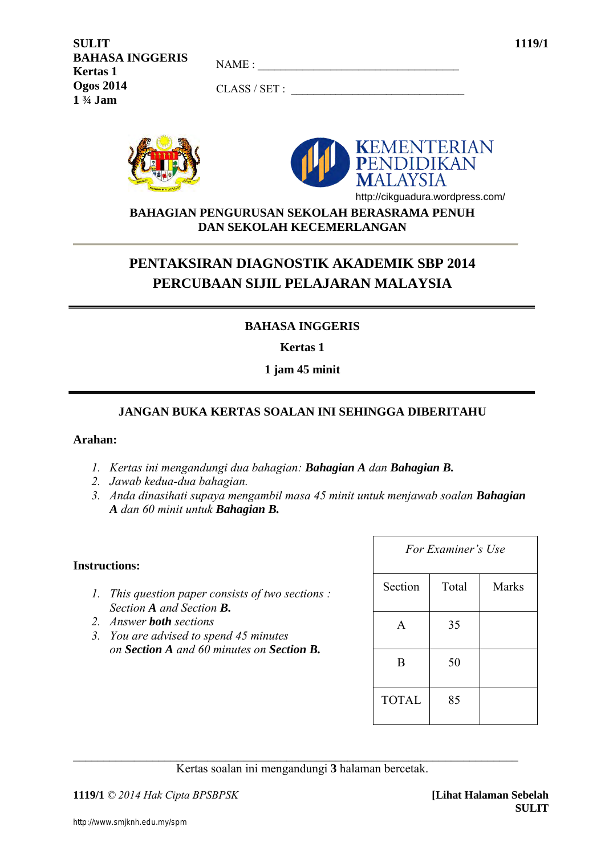| <b>SULIT</b>           |              | 1119/1 |
|------------------------|--------------|--------|
| <b>BAHASA INGGERIS</b> | NAME:        |        |
| <b>Kertas 1</b>        |              |        |
| <b>Ogos 2014</b>       | CLASS / SET: |        |
| $1\frac{3}{4}$ Jam     |              |        |





http://cikguadura.wordpress.com/

**BAHAGIAN PENGURUSAN SEKOLAH BERASRAMA PENUH DAN SEKOLAH KECEMERLANGAN**

# **PENTAKSIRAN DIAGNOSTIK AKADEMIK SBP 2014 PERCUBAAN SIJIL PELAJARAN MALAYSIA**

# **BAHASA INGGERIS**

**Kertas 1** 

## **1 jam 45 minit**

# **JANGAN BUKA KERTAS SOALAN INI SEHINGGA DIBERITAHU**

## **Arahan:**

- *1. Kertas ini mengandungi dua bahagian: Bahagian A dan Bahagian B.*
- *2. Jawab kedua-dua bahagian.*
- *3. Anda dinasihati supaya mengambil masa 45 minit untuk menjawab soalan Bahagian A dan 60 minit untuk Bahagian B.*

## **Instructions:**

- *1. This question paper consists of two sections : Section A and Section B.*
- *2. Answer both sections*
- *3. You are advised to spend 45 minutes on Section A and 60 minutes on Section B.*

| For Examiner's Use |       |              |  |
|--------------------|-------|--------------|--|
| Section            | Total | <b>Marks</b> |  |
| A                  | 35    |              |  |
| B                  | 50    |              |  |
| <b>TOTAL</b>       | 85    |              |  |

 $\_$  , and the set of the set of the set of the set of the set of the set of the set of the set of the set of the set of the set of the set of the set of the set of the set of the set of the set of the set of the set of th Kertas soalan ini mengandungi **3** halaman bercetak.

**1119/1** *© 2014 Hak Cipta BPSBPSK* **[Lihat Halaman Sebelah**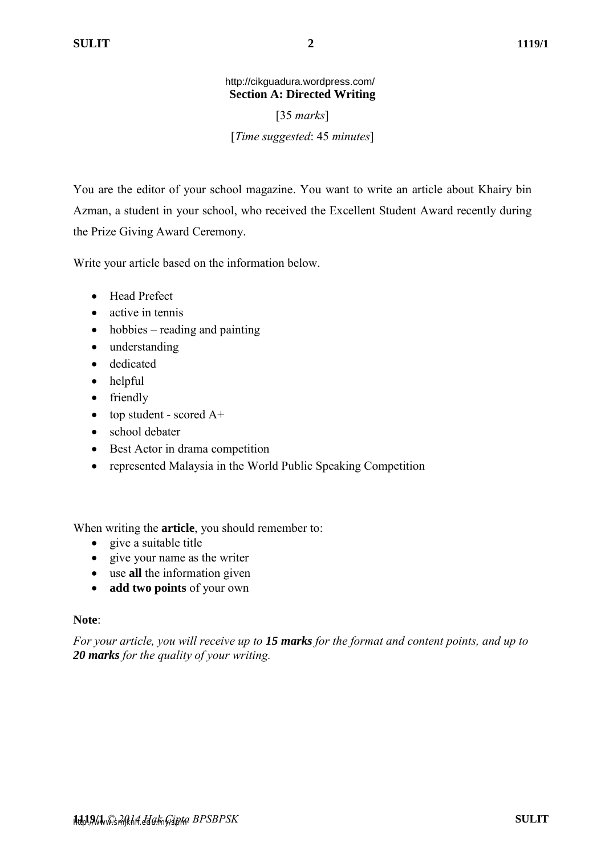## **Section A: Directed Writing**  http://cikguadura.wordpress.com/

[35 *marks*]

[*Time suggested*: 45 *minutes*]

You are the editor of your school magazine. You want to write an article about Khairy bin Azman, a student in your school, who received the Excellent Student Award recently during the Prize Giving Award Ceremony.

Write your article based on the information below.

- Head Prefect
- active in tennis
- $\bullet$  hobbies reading and painting
- understanding
- dedicated
- helpful
- friendly
- top student scored  $A+$
- school debater
- Best Actor in drama competition
- represented Malaysia in the World Public Speaking Competition

When writing the **article**, you should remember to:

- give a suitable title
- give your name as the writer
- use **all** the information given
- **add two points** of your own

## **Note**:

*For your article, you will receive up to 15 marks for the format and content points, and up to 20 marks for the quality of your writing.*